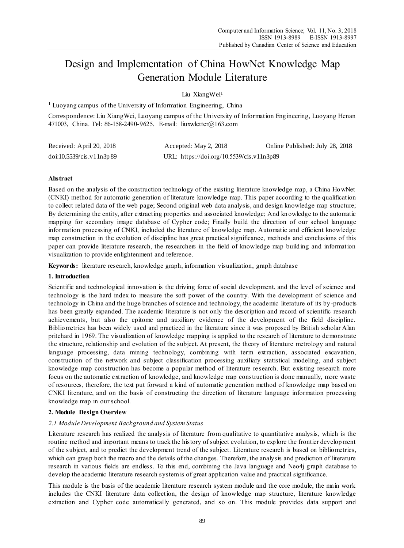# Design and Implementation of China HowNet Knowledge Map Generation Module Literature

Liu XiangWei<sup>1</sup>

<sup>1</sup> Luoyang campus of the University of Information Engineering, China

Correspondence: Liu XiangWei, Luoyang campus of the University of Information Engineering, Luoyang Henan 471003, China. Tel: 86-158-2490-9625. E-mail: liuxwletter@163.com

| Received: April 20, 2018                                     | Accepted: May 2, 2018                     | Online Published: July 28, 2018 |
|--------------------------------------------------------------|-------------------------------------------|---------------------------------|
| $\frac{\text{doi:10.5539}}{\text{cis}.v11}$ $\frac{1}{3}$ 89 | URL: https://doi.org/10.5539/cis.v11n3p89 |                                 |

## **Abstract**

Based on the analysis of the construction technology of the existing literature knowledge map, a China HowNet (CNKI) method for automatic generation of literature knowledge map. This paper according to the qualification to collect related data of the web page; Second original web data analysis, and design knowledge map structure; By determining the entity, after extracting properties and associated knowledge; And kn owledge to the automatic mapping for secondary image database of Cypher code; Finally build the direction of our school language information processing of CNKI, included the literature of knowledge map. Automatic and efficient knowledge map construction in the evolution of discipline has great practical significance, methods and conclusions of this paper can provide literature research, the researchers in the field of knowledge map building and information visualization to provide enlightenment and reference.

**Keywords:** literature research, knowledge graph, information visualization, graph database

#### **1. Introduction**

Scientific and technological innovation is the driving force of social development, and the level of science and technology is the hard index to measure the soft power of the country. With the development of science and technology in China and the huge branches of science and technology, the academic literature of its by -products has been greatly expanded. The academic literature is not only the description and record of scientific research achievements, but also the epitome and auxiliary evidence of the development of the field discipline. Bibliometrics has been widely used and practiced in the literature since it was proposed by British scholar Alan pritchard in 1969. The visualization of knowledge mapping is applied to the research of literature to demonstrate the structure, relationship and evolution of the subject. At present, the theory of literature metrology and natural language processing, data mining technology, combining with term extraction, associated excavation, construction of the network and subject classification processing auxiliary statistical modeling, and subject knowledge map construction has become a popular method of literature research. But existing research more focus on the automatic extraction of knowledge, and knowledge map construction is done manually, more waste of resources, therefore, the text put forward a kind of automatic generation method of knowledge map based on CNKI literature, and on the basis of constructing the direction of literature language information processing knowledge map in our school.

## **2. Module Design Overview**

## *2.1 Module Development Background and System Status*

Literature research has realized the analysis of literature from qualitative to quantitative analysis, which is the routine method and important means to track the history of subject evolution, to explore the frontier development of the subject, and to predict the development trend of the subject. Literature research is based on bibliometrics, which can grasp both the macro and the details of the changes. Therefore, the analysis and prediction of literature research in various fields are endless. To this end, combining the Java language and Neo4j graph database to develop the academic literature research system is of great application value and practical significance.

This module is the basis of the academic literature research system module and the core module, the main work includes the CNKI literature data collection, the design of knowledge map structure, literature knowledge extraction and Cypher code automatically generated, and so on. This module provides data support and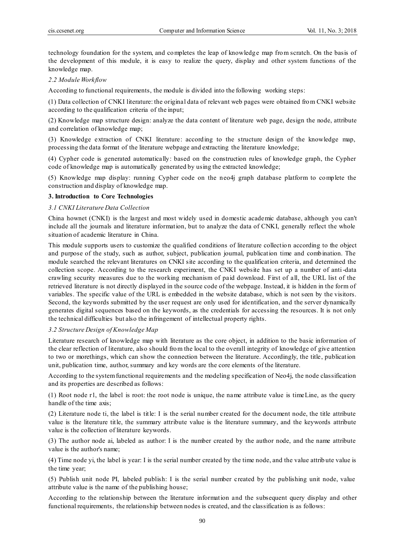technology foundation for the system, and completes the leap of knowledg e map from scratch. On the basis of the development of this module, it is easy to realize the query, display and other system functions of the knowledge map.

## *2.2 Module Workflow*

According to functional requirements, the module is divided into the following working steps:

(1) Data collection of CNKI literature: the original data of relevant web pages were obtained from CNKI website according to the qualification criteria of the input;

(2) Knowledge map structure design: analyze the data content of literature web page, design the node, attribute and correlation of knowledge map;

(3) Knowledge extraction of CNKI literature: according to the structure design of the knowledge map, processing the data format of the literature webpage and extracting the literature knowledge;

(4) Cypher code is generated automatically: based on the construction rules of knowledge graph, the Cypher code of knowledge map is automatically generated by using the extracted knowledge;

(5) Knowledge map display: running Cypher code on the neo4j graph database platform to complete the construction and display of knowledge map.

#### **3. Introduction to Core Technologies**

### *3.1 CNKI Literature Data Collection*

China hownet (CNKI) is the largest and most widely used in domestic academic database, although you can't include all the journals and literature information, but to analyze the data of CNKI, generally reflect the whole situation of academic literature in China.

This module supports users to customize the qualified conditions of literature collectio n according to the object and purpose of the study, such as author, subject, publication journal, publication time and combination. The module searched the relevant literatures on CNKI site according to the qualification criteria, and determined the collection scope. According to the research experiment, the CNKI website has set up a number of anti-data crawling security measures due to the working mechanism of paid download. First of all, the URL list of the retrieved literature is not directly displayed in the source code of the webpage. Instead, it is hidden in the form of variables. The specific value of the URL is embedded in the website database, which is not seen by the visitors. Second, the keywords submitted by the user request are only used for identification, and the server dynamically generates digital sequences based on the keywords, as the credentials for accessing the resources. It is not only the technical difficulties but also the infringement of intellectual property rights.

## *3.2 Structure Design of Knowledge Map*

Literature research of knowledge map with literature as the core object, in addition to the basic information of the clear reflection of literature, also should from the local to the overall integrity of knowledge of give attention to two or morethings, which can show the connection between the literature. Accordingly, the title, publication unit, publication time, author, summary and key words are the core elements of the literature.

According to the system functional requirements and the modeling specification of Neo4j, the node classification and its properties are described as follows:

(1) Root node r1, the label is root: the root node is unique, the name attribute value is timeLine, as the query handle of the time axis;

(2) Literature node ti, the label is title: I is the serial number created for the document node, the title attribute value is the literature title, the summary attribute value is the literature summary, and the keywords attribute value is the collection of literature keywords.

(3) The author node ai, labeled as author: I is the number created by the author node, and the name attribute value is the author's name;

(4) Time node yi, the label is year: I is the serial number created by the time node, and the value attrib ute value is the time year;

(5) Publish unit node PI, labeled publish: I is the serial number created by the publishing unit node, value attribute value is the name of the publishing house;

According to the relationship between the literature information and the subsequent query display and other functional requirements, the relationship between nodes is created, and the classification is as follows: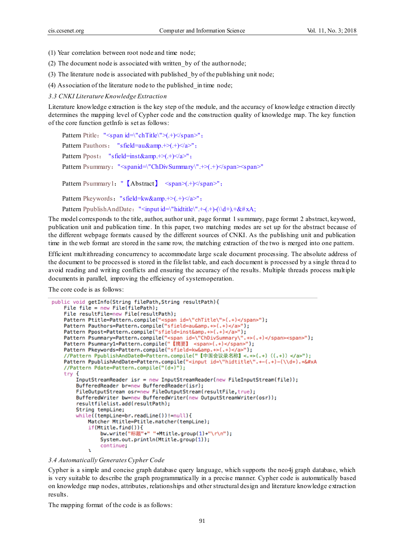(1) Year correlation between root node and time node;

- (2) The document node is associated with written\_by of the author node;
- (3) The literature node is associated with published\_by of the publishing unit node;

(4) Association of the literature node to the published\_in time node;

*3.3 CNKI Literature Knowledge Extraction*

Literature knowledge extraction is the key step of the module, and the accuracy of knowledge extraction directly determines the mapping level of Cypher code and the construction quality of knowledge map. The key function of the core function getInfo is set as follows:

```
Pattern Ptitle: "\leqspan id=\"chTitle\">(.+) \leqspan>";
Pattern Pauthors: "sfield=au&amp.+>(.+)</a>";
Pattern Ppost: "sfield=inst&amp.+>(\cdot+)<sub>4</sub>);
Pattern Psummary: "\leqspanid=\"ChDivSummary\".+>(.+)\leq/span>\leqspan>"
Pattern Psummary1: " [Abstract] <span>(+) </span>";
Pattern Pkeywords: "sfield=kw&amp.\leftrightarrow(.+)\lt/a\gt";
Pattern PpublishAndDate: "<input id=\"hidtitle\".+-(.+)-(\\d+).+&#xA;
```
The model corresponds to the title, author, author unit, page format 1 summary, page format 2 abstract, keyword, publication unit and publication time. In this paper, two matching modes are set up for the abstract because of the different webpage formats caused by the different sources of CNKI. As the publishing unit and publication

Efficient multithreading concurrency to accommodate large scale document processing. The absolute address of the document to be processed is stored in the filelist table, and each document is processed by a single threa d to avoid reading and writing conflicts and ensuring the accuracy of the results. Multiple threads process multiple documents in parallel, improving the efficiency of system operation.

time in the web format are stored in the same row, the matching extraction of the two is merged into one pattern.

The core code is as follows:

```
public void getInfo(String filePath, String resultPath){
   File file = new File(filePath);
   File resultFile=new File(resultPath);
   Pattern Ptitle=Pattern.compile("<span_id=\"chTitle\">(.+)</span>");
   Pattern Pauthors=Pattern.compile("sfield=au&amp.+>(.+)</a>");
   Pattern Ppost=Pattern.compile("sfield=inst&amp.+>(.+)</a>");
    Pattern Psummary=Pattern.compile("<span_id=\"ChDivSummary\".+>(.+)</span><span>");
   Pattern Psummary1=Pattern.compile("【摘要】 <span>(.+)</span>");
   Pattern Pkeywords=Pattern.compile("sfield=kw&amp.+>(.+)</a>");
    //Pattern PpublishAndDate0=Pattern.compile("【中国会议录名称】<.+>(.+) ((.+)) </a>");
   Pattern PpublishAndDate=Pattern.compile("<input id=\"hidtitle\".+-(.+)-(\\d+).+&#xA
    //Pattern Pdate=Pattern.compile("(d+)");
    try {
        InputStreamReader isr = new InputStreamReader(new FileInputStream(file));
       BufferedReader br=new BufferedReader(isr);
        FileOutputStream osr=new FileOutputStream(resultFile,true);
       BufferedWriter bw=new BufferedWriter(new OutputStreamWriter(osr));
       resultfilelist.add(resultPath);
       String tempLine;
       while((tempLine=br.readLine())!=null){
           Matcher Mtitle=Ptitle.matcher(tempLine);
            if (Mtitle.find())bw.write("标题"+" "+Mtitle.group(1)+"\r\n");
                System.out.println(Mtitle.group(1));
               continue;
```
#### *3.4 Automatically GeneratesCypher Code*

 $\mathbf{r}$ 

Cypher is a simple and concise graph database query language, which supports the neo4j graph database, which is very suitable to describe the graph programmatically in a precise manner. Cypher code is automatically based on knowledge map nodes, attributes, relationships and other structural design and literature knowledge extraction results.

The mapping format of the code is as follows: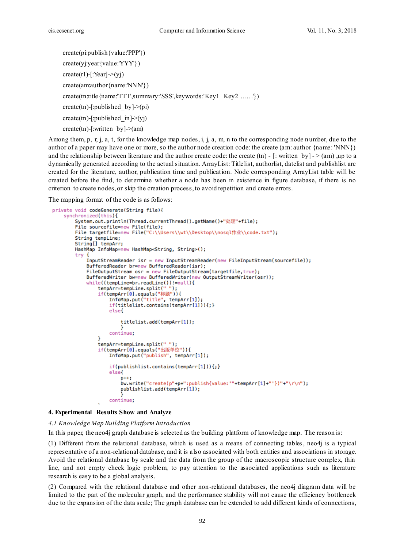```
create(pi:publish{value:'PPP'})
create(yj:year{value:'YYY'})
create(r1)-[:Year]->(yj)
create(am:author{name:'NNN'})
create(tn:title{name:'TTT',summary:'SSS',keywords:'Key1 Key2 ……'})
create(tn)-[:published by]->(pi)
create(tn)-[:published in]->(yi)create(tn)-[:written by]->(am)
```
Among them, p, r, j, a, t, for the knowledge map nodes, i, j, a, m, n to the corresponding node number, due to the author of a paper may have one or more, so the author node creation code: the create (am: author {name: 'NNN}) and the relationship between literature and the author create code: the create (tn) -  $\int$ : written by] - > (am) ,up to a dynamically generated according to the actual situation. ArrayList: Titlelist, authorlist, datelist and publishlist are created for the literature, author, publication time and publication. Node corresponding ArrayList table will be created before the find, to determine whether a node has been in existence in figure database, if there is no criterion to create nodes, or skip the creation process, to avoid repetition and create errors.

The mapping format of the code is as follows:

```
private void codeGenerate(String file){
    synchronized(this){
        System.out.println(Thread.currentThread().getName()+"处理"+file);
        File sourcefile=new File(file):
        File targetfile=new File("C:\\Users\\wt\\Desktop\\nosql作业\\code.txt");
        String tempLine;
        String[] tempArr;
        HashMap InfoMap=new HashMap<String, String>();
        try {
            InputStreamReader isr = new InputStreamReader(new FileInputStream(sourcefile));
            BufferedReader br=new BufferedReader(isr);
            FileOutputStream osr = new FileOutputStream(targetfile,true);
            BufferedWriter bw=new BufferedWriter(new OutputStreamWriter(osr));
            while((tempLine=br.readLine())!=null){
                tempArr=tempLine.split("");
                if(tempArr[0].equals("标题")){
                    InfoMap.put("title", tempArr[1]);
                    if(titlelist.contains(tempArr[1])){;}
                    elsef
                        titlelist.add(tempArr[1]);
                        -1
                    continue:
                ٦
                tempArr=tempLine.split("");
                if(tempArr[0].equals("出版单位")){
                    InfoMap.put("publish", tempArr[1]);
                    if(publishlist.contains(tempArr[1])){;}
                    elsel
                        D++bw.write("create(p"+p+":publish{value:""+tempArr[1]+"'})"+"\r\n");
                        publishlist.add(tempArr[1]);
                    continue:
```
#### **4. Experimental Results Show and Analyze**

## *4.1 Knowledge Map Building Platform Introduction*

In this paper, the neo4j graph database is selected as the building platform of knowledge map. The reason is:

(1) Different from the relational database, which is used as a means of connecting tables, neo4j is a typical representative of a non-relational database, and it is also associated with both entities and associations in storage. Avoid the relational database by scale and the data from the group of the macroscopic structure complex, thin line, and not empty check logic problem, to pay attention to the associated applications such as literature research is easy to be a global analysis.

(2) Compared with the relational database and other non-relational databases, the neo4j diagram data will be limited to the part of the molecular graph, and the performance stability will not cause the efficiency bottleneck due to the expansion of the data scale; The graph database can be extended to add different kinds of connections,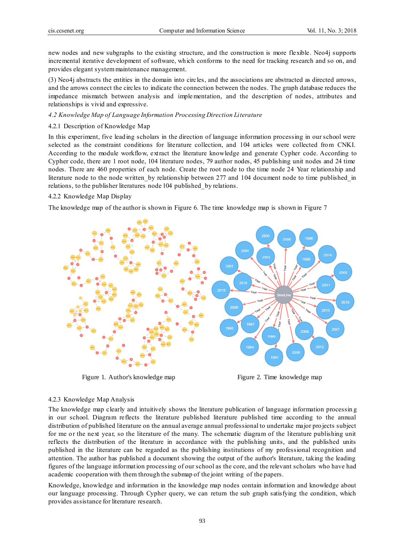new nodes and new subgraphs to the existing structure, and the construction is more flexible. Neo4j supports incremental iterative development of software, which conforms to the need for tracking research and so on, and provides elegant system maintenance management.

(3) Neo4j abstracts the entities in the domain into circles, and the associations are abstracted as directed arrows, and the arrows connect the circles to indicate the connection between the nodes. The graph database reduces the impedance mismatch between analysis and implementation, and the description of nodes, attributes and relationships is vivid and expressive.

#### *4.2 Knowledge Map of Language Information Processing Direction Literature*

#### 4.2.1 Description of Knowledge Map

In this experiment, five leading scholars in the direction of language information processing in our school were selected as the constraint conditions for literature collection, and 104 articles were collected from CNKI. According to the module workflow, extract the literature knowledge and generate Cypher code. According to Cypher code, there are 1 root node, 104 literature nodes, 79 author nodes, 45 publishing unit nodes and 24 time nodes. There are 460 properties of each node. Create the root node to the time node 24 Year relationship and literature node to the node written by relationship between 277 and 104 document node to time published in relations, to the publisher literatures node 104 published\_by relations.

#### 4.2.2 Knowledge Map Display

The knowledge map of the author is shown in Figure 6. The time knowledge map is shown in Figure 7



Figure 1. Author's knowledge map Figure 2. Time knowledge map

#### 4.2.3 Knowledge Map Analysis

The knowledge map clearly and intuitively shows the literature publication of language information processin g in our school. Diagram reflects the literature published literature published time according to the annual distribution of published literature on the annual average annual professional to undertake major projects subject for me or the next year, so the literature of the many. The schematic diagram of the literature publishing unit reflects the distribution of the literature in accordance with the publishing units, and the published units published in the literature can be regarded as the publishing institutions of my professional recognition and attention. The author has published a document showing the output of the author's literature, taking the leading figures of the language information processing of our school as the core, and the relevant scholars who have had academic cooperation with them through the submap of the joint writing of the papers.

Knowledge, knowledge and information in the knowledge map nodes contain information and knowledge about our language processing. Through Cypher query, we can return the sub graph satisfying the condition, which provides assistance for literature research.